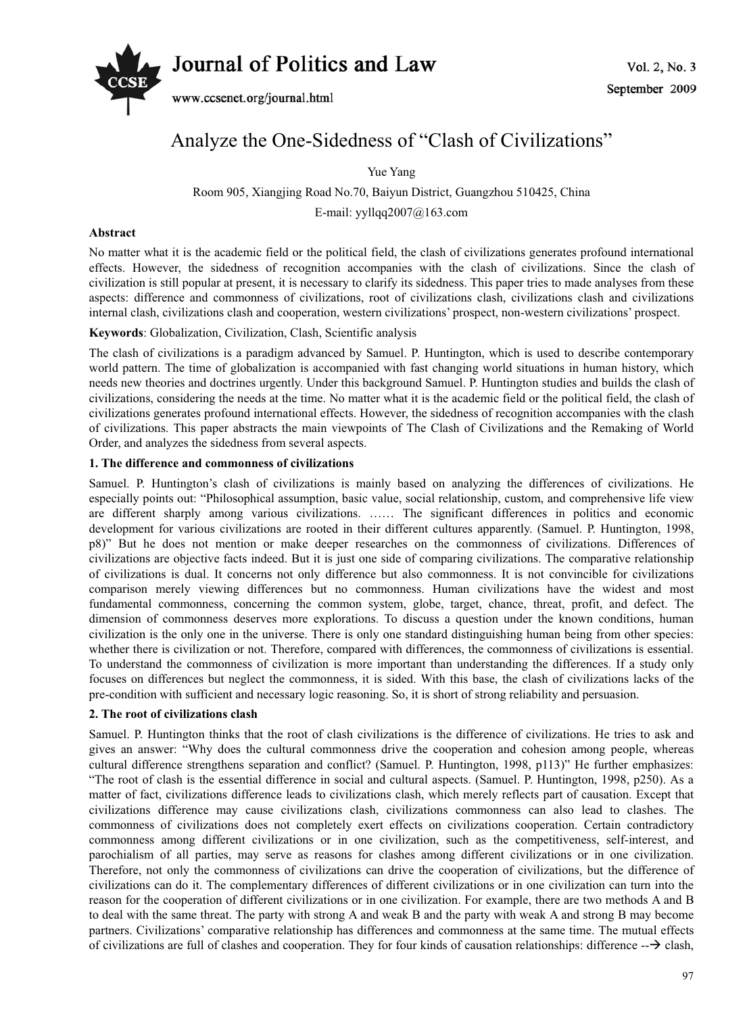# *Journal of Politics and Law*  $Vol. 2, No. 3$



www.ccsenet.org/journal.html

# Analyze the One-Sidedness of "Clash of Civilizations"

Yue Yang

Room 905, Xiangjing Road No.70, Baiyun District, Guangzhou 510425, China E-mail: yyllqq2007@163.com

# **Abstract**

No matter what it is the academic field or the political field, the clash of civilizations generates profound international effects. However, the sidedness of recognition accompanies with the clash of civilizations. Since the clash of civilization is still popular at present, it is necessary to clarify its sidedness. This paper tries to made analyses from these aspects: difference and commonness of civilizations, root of civilizations clash, civilizations clash and civilizations internal clash, civilizations clash and cooperation, western civilizations' prospect, non-western civilizations' prospect.

# **Keywords**: Globalization, Civilization, Clash, Scientific analysis

The clash of civilizations is a paradigm advanced by Samuel. P. Huntington, which is used to describe contemporary world pattern. The time of globalization is accompanied with fast changing world situations in human history, which needs new theories and doctrines urgently. Under this background Samuel. P. Huntington studies and builds the clash of civilizations, considering the needs at the time. No matter what it is the academic field or the political field, the clash of civilizations generates profound international effects. However, the sidedness of recognition accompanies with the clash of civilizations. This paper abstracts the main viewpoints of The Clash of Civilizations and the Remaking of World Order, and analyzes the sidedness from several aspects.

# **1. The difference and commonness of civilizations**

Samuel. P. Huntington's clash of civilizations is mainly based on analyzing the differences of civilizations. He especially points out: "Philosophical assumption, basic value, social relationship, custom, and comprehensive life view are different sharply among various civilizations. …… The significant differences in politics and economic development for various civilizations are rooted in their different cultures apparently. (Samuel. P. Huntington, 1998, p8)" But he does not mention or make deeper researches on the commonness of civilizations. Differences of civilizations are objective facts indeed. But it is just one side of comparing civilizations. The comparative relationship of civilizations is dual. It concerns not only difference but also commonness. It is not convincible for civilizations comparison merely viewing differences but no commonness. Human civilizations have the widest and most fundamental commonness, concerning the common system, globe, target, chance, threat, profit, and defect. The dimension of commonness deserves more explorations. To discuss a question under the known conditions, human civilization is the only one in the universe. There is only one standard distinguishing human being from other species: whether there is civilization or not. Therefore, compared with differences, the commonness of civilizations is essential. To understand the commonness of civilization is more important than understanding the differences. If a study only focuses on differences but neglect the commonness, it is sided. With this base, the clash of civilizations lacks of the pre-condition with sufficient and necessary logic reasoning. So, it is short of strong reliability and persuasion.

# **2. The root of civilizations clash**

Samuel. P. Huntington thinks that the root of clash civilizations is the difference of civilizations. He tries to ask and gives an answer: "Why does the cultural commonness drive the cooperation and cohesion among people, whereas cultural difference strengthens separation and conflict? (Samuel. P. Huntington, 1998, p113)" He further emphasizes: "The root of clash is the essential difference in social and cultural aspects. (Samuel. P. Huntington, 1998, p250). As a matter of fact, civilizations difference leads to civilizations clash, which merely reflects part of causation. Except that civilizations difference may cause civilizations clash, civilizations commonness can also lead to clashes. The commonness of civilizations does not completely exert effects on civilizations cooperation. Certain contradictory commonness among different civilizations or in one civilization, such as the competitiveness, self-interest, and parochialism of all parties, may serve as reasons for clashes among different civilizations or in one civilization. Therefore, not only the commonness of civilizations can drive the cooperation of civilizations, but the difference of civilizations can do it. The complementary differences of different civilizations or in one civilization can turn into the reason for the cooperation of different civilizations or in one civilization. For example, there are two methods A and B to deal with the same threat. The party with strong A and weak B and the party with weak A and strong B may become partners. Civilizations' comparative relationship has differences and commonness at the same time. The mutual effects of civilizations are full of clashes and cooperation. They for four kinds of causation relationships: difference  $-\rightarrow$  clash,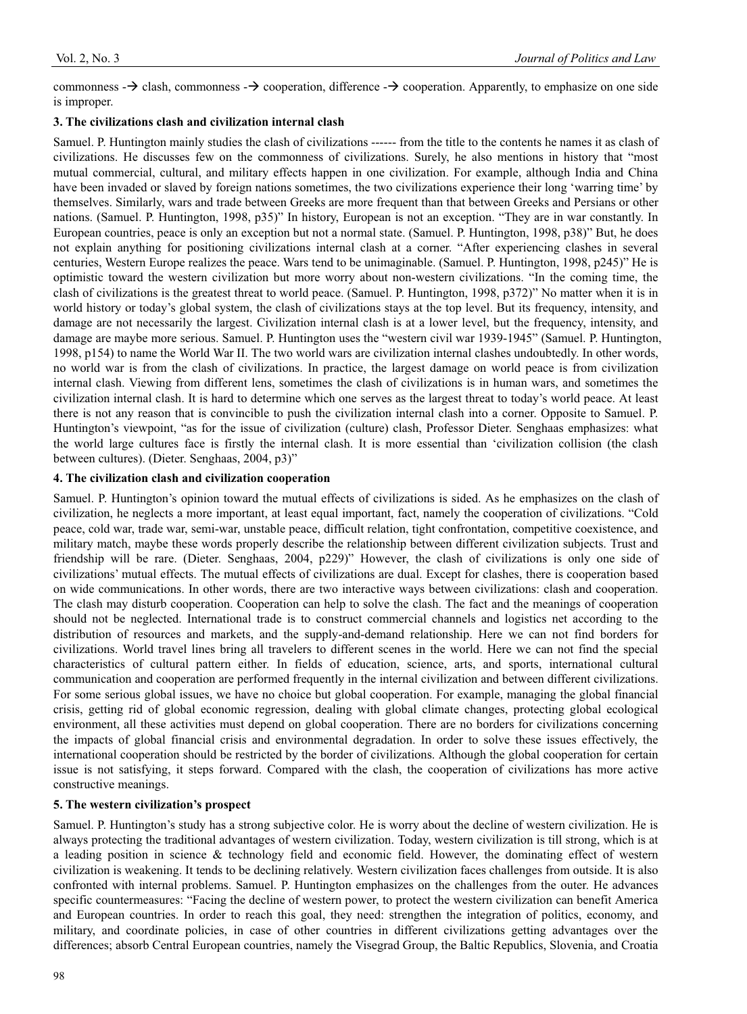commonness  $\rightarrow$  clash, commonness  $\rightarrow$  cooperation, difference  $\rightarrow$  cooperation. Apparently, to emphasize on one side is improper.

#### **3. The civilizations clash and civilization internal clash**

Samuel. P. Huntington mainly studies the clash of civilizations ------ from the title to the contents he names it as clash of civilizations. He discusses few on the commonness of civilizations. Surely, he also mentions in history that "most mutual commercial, cultural, and military effects happen in one civilization. For example, although India and China have been invaded or slaved by foreign nations sometimes, the two civilizations experience their long 'warring time' by themselves. Similarly, wars and trade between Greeks are more frequent than that between Greeks and Persians or other nations. (Samuel. P. Huntington, 1998, p35)" In history, European is not an exception. "They are in war constantly. In European countries, peace is only an exception but not a normal state. (Samuel. P. Huntington, 1998, p38)" But, he does not explain anything for positioning civilizations internal clash at a corner. "After experiencing clashes in several centuries, Western Europe realizes the peace. Wars tend to be unimaginable. (Samuel. P. Huntington, 1998, p245)" He is optimistic toward the western civilization but more worry about non-western civilizations. "In the coming time, the clash of civilizations is the greatest threat to world peace. (Samuel. P. Huntington, 1998, p372)" No matter when it is in world history or today's global system, the clash of civilizations stays at the top level. But its frequency, intensity, and damage are not necessarily the largest. Civilization internal clash is at a lower level, but the frequency, intensity, and damage are maybe more serious. Samuel. P. Huntington uses the "western civil war 1939-1945" (Samuel. P. Huntington, 1998, p154) to name the World War II. The two world wars are civilization internal clashes undoubtedly. In other words, no world war is from the clash of civilizations. In practice, the largest damage on world peace is from civilization internal clash. Viewing from different lens, sometimes the clash of civilizations is in human wars, and sometimes the civilization internal clash. It is hard to determine which one serves as the largest threat to today's world peace. At least there is not any reason that is convincible to push the civilization internal clash into a corner. Opposite to Samuel. P. Huntington's viewpoint, "as for the issue of civilization (culture) clash, Professor Dieter. Senghaas emphasizes: what the world large cultures face is firstly the internal clash. It is more essential than 'civilization collision (the clash between cultures). (Dieter. Senghaas, 2004, p3)"

#### **4. The civilization clash and civilization cooperation**

Samuel. P. Huntington's opinion toward the mutual effects of civilizations is sided. As he emphasizes on the clash of civilization, he neglects a more important, at least equal important, fact, namely the cooperation of civilizations. "Cold peace, cold war, trade war, semi-war, unstable peace, difficult relation, tight confrontation, competitive coexistence, and military match, maybe these words properly describe the relationship between different civilization subjects. Trust and friendship will be rare. (Dieter. Senghaas, 2004, p229)" However, the clash of civilizations is only one side of civilizations' mutual effects. The mutual effects of civilizations are dual. Except for clashes, there is cooperation based on wide communications. In other words, there are two interactive ways between civilizations: clash and cooperation. The clash may disturb cooperation. Cooperation can help to solve the clash. The fact and the meanings of cooperation should not be neglected. International trade is to construct commercial channels and logistics net according to the distribution of resources and markets, and the supply-and-demand relationship. Here we can not find borders for civilizations. World travel lines bring all travelers to different scenes in the world. Here we can not find the special characteristics of cultural pattern either. In fields of education, science, arts, and sports, international cultural communication and cooperation are performed frequently in the internal civilization and between different civilizations. For some serious global issues, we have no choice but global cooperation. For example, managing the global financial crisis, getting rid of global economic regression, dealing with global climate changes, protecting global ecological environment, all these activities must depend on global cooperation. There are no borders for civilizations concerning the impacts of global financial crisis and environmental degradation. In order to solve these issues effectively, the international cooperation should be restricted by the border of civilizations. Although the global cooperation for certain issue is not satisfying, it steps forward. Compared with the clash, the cooperation of civilizations has more active constructive meanings.

# **5. The western civilization's prospect**

Samuel. P. Huntington's study has a strong subjective color. He is worry about the decline of western civilization. He is always protecting the traditional advantages of western civilization. Today, western civilization is till strong, which is at a leading position in science & technology field and economic field. However, the dominating effect of western civilization is weakening. It tends to be declining relatively. Western civilization faces challenges from outside. It is also confronted with internal problems. Samuel. P. Huntington emphasizes on the challenges from the outer. He advances specific countermeasures: "Facing the decline of western power, to protect the western civilization can benefit America and European countries. In order to reach this goal, they need: strengthen the integration of politics, economy, and military, and coordinate policies, in case of other countries in different civilizations getting advantages over the differences; absorb Central European countries, namely the Visegrad Group, the Baltic Republics, Slovenia, and Croatia